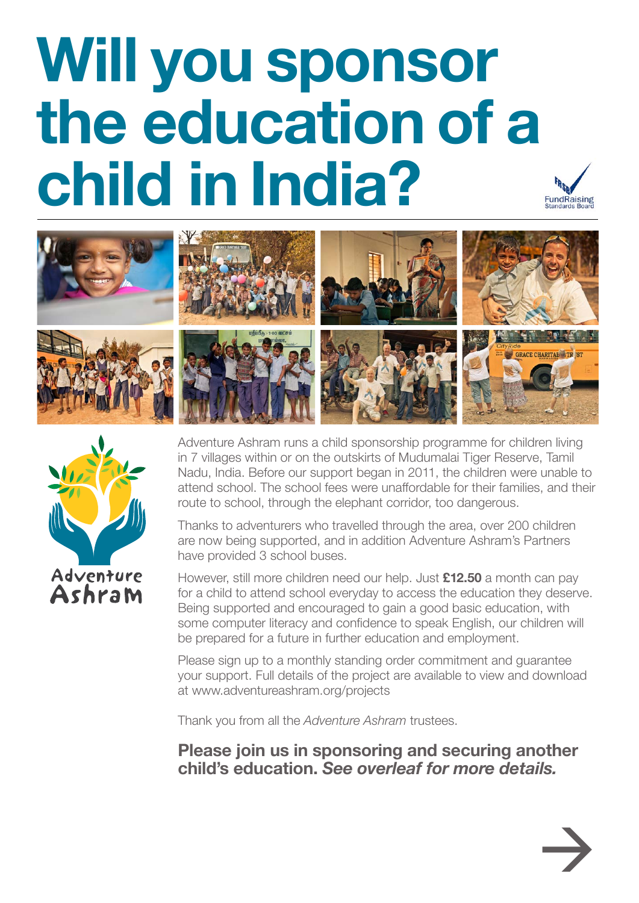## **Will you sponsor the education of a child in India? FundRaising**





Adventure Ashram runs a child sponsorship programme for children living in 7 villages within or on the outskirts of Mudumalai Tiger Reserve, Tamil Nadu, India. Before our support began in 2011, the children were unable to attend school. The school fees were unaffordable for their families, and their route to school, through the elephant corridor, too dangerous.

Thanks to adventurers who travelled through the area, over 200 children are now being supported, and in addition Adventure Ashram's Partners have provided 3 school buses.

However, still more children need our help. Just **£12.50** a month can pay for a child to attend school everyday to access the education they deserve. Being supported and encouraged to gain a good basic education, with some computer literacy and confidence to speak English, our children will be prepared for a future in further education and employment.

Please sign up to a monthly standing order commitment and guarantee your support. Full details of the project are available to view and download at www.adventureashram.org/projects

Thank you from all the *Adventure Ashram* trustees.

**Please join us in sponsoring and securing another child's education.** *See overleaf for more details.*

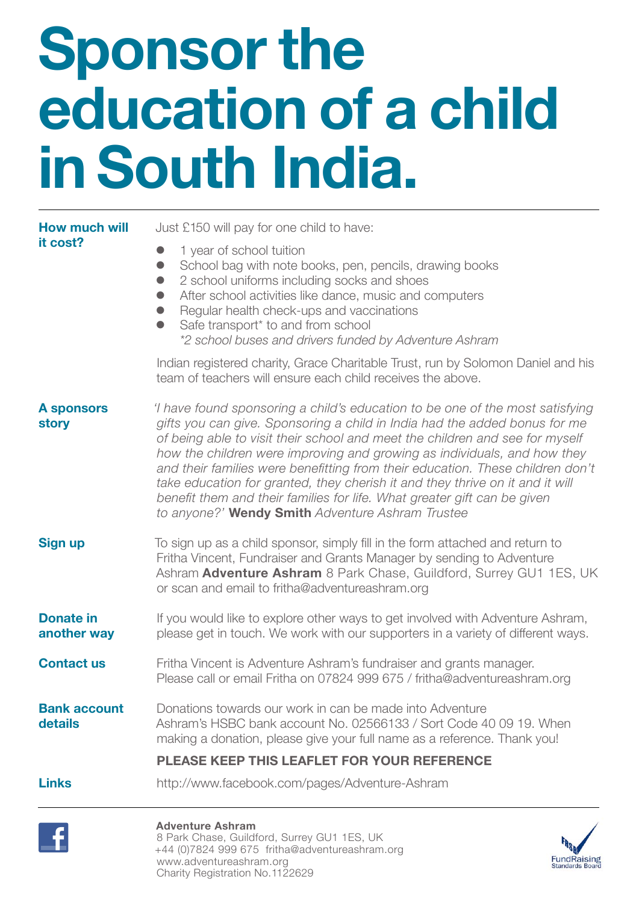# **Sponsor the education of a child in South India.**

| <b>How much will</b>            | Just £150 will pay for one child to have:                                                                                                                                                                                                                                                                                                                                                                                                                                                                                                                                                                                  |  |  |
|---------------------------------|----------------------------------------------------------------------------------------------------------------------------------------------------------------------------------------------------------------------------------------------------------------------------------------------------------------------------------------------------------------------------------------------------------------------------------------------------------------------------------------------------------------------------------------------------------------------------------------------------------------------------|--|--|
| it cost?                        | 1 year of school tuition<br>School bag with note books, pen, pencils, drawing books<br>$\bullet$<br>2 school uniforms including socks and shoes<br>$\bullet$<br>After school activities like dance, music and computers<br>$\bullet$<br>Regular health check-ups and vaccinations<br>Safe transport* to and from school<br>*2 school buses and drivers funded by Adventure Ashram                                                                                                                                                                                                                                          |  |  |
|                                 | Indian registered charity, Grace Charitable Trust, run by Solomon Daniel and his<br>team of teachers will ensure each child receives the above.                                                                                                                                                                                                                                                                                                                                                                                                                                                                            |  |  |
| <b>A</b> sponsors<br>story      | 'I have found sponsoring a child's education to be one of the most satisfying<br>gifts you can give. Sponsoring a child in India had the added bonus for me<br>of being able to visit their school and meet the children and see for myself<br>how the children were improving and growing as individuals, and how they<br>and their families were benefitting from their education. These children don't<br>take education for granted, they cherish it and they thrive on it and it will<br>benefit them and their families for life. What greater gift can be given<br>to anyone?' Wendy Smith Adventure Ashram Trustee |  |  |
| <b>Sign up</b>                  | To sign up as a child sponsor, simply fill in the form attached and return to<br>Fritha Vincent, Fundraiser and Grants Manager by sending to Adventure<br>Ashram Adventure Ashram 8 Park Chase, Guildford, Surrey GU1 1ES, UK<br>or scan and email to fritha@adventureashram.org                                                                                                                                                                                                                                                                                                                                           |  |  |
| <b>Donate in</b><br>another way | If you would like to explore other ways to get involved with Adventure Ashram,<br>please get in touch. We work with our supporters in a variety of different ways.                                                                                                                                                                                                                                                                                                                                                                                                                                                         |  |  |
| <b>Contact us</b>               | Fritha Vincent is Adventure Ashram's fundraiser and grants manager.<br>Please call or email Fritha on 07824 999 675 / fritha@adventureashram.org                                                                                                                                                                                                                                                                                                                                                                                                                                                                           |  |  |
| <b>Bank account</b><br>details  | Donations towards our work in can be made into Adventure<br>Ashram's HSBC bank account No. 02566133 / Sort Code 40 09 19. When<br>making a donation, please give your full name as a reference. Thank you!                                                                                                                                                                                                                                                                                                                                                                                                                 |  |  |
|                                 | PLEASE KEEP THIS LEAFLET FOR YOUR REFERENCE                                                                                                                                                                                                                                                                                                                                                                                                                                                                                                                                                                                |  |  |
| <b>Links</b>                    | http://www.facebook.com/pages/Adventure-Ashram                                                                                                                                                                                                                                                                                                                                                                                                                                                                                                                                                                             |  |  |
|                                 |                                                                                                                                                                                                                                                                                                                                                                                                                                                                                                                                                                                                                            |  |  |



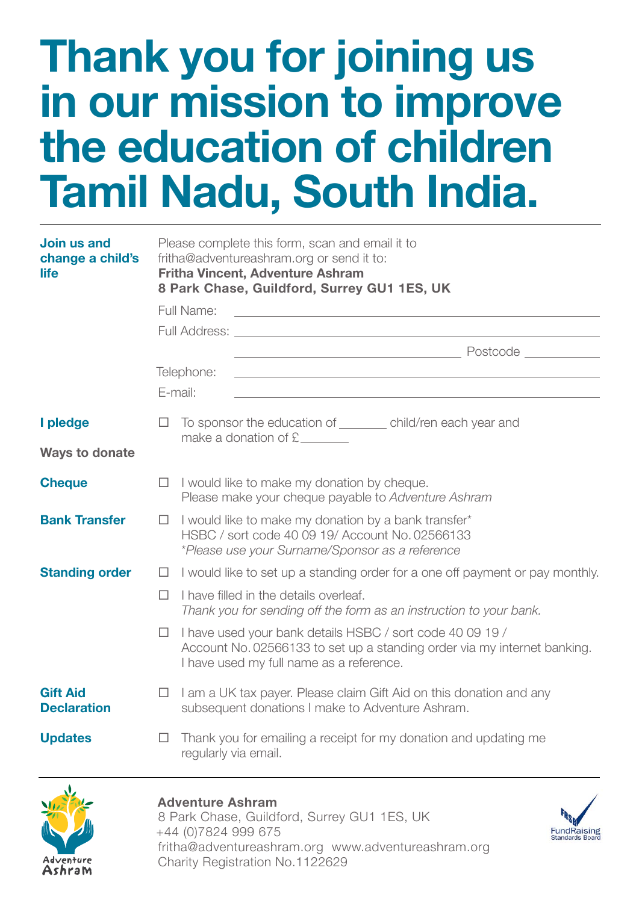### **Thank you for joining us in our mission to improve the education of children Tamil Nadu, South India.**

| Join us and<br>change a child's<br>life | Please complete this form, scan and email it to<br>fritha@adventureashram.org or send it to:<br><b>Fritha Vincent, Adventure Ashram</b><br>8 Park Chase, Guildford, Surrey GU1 1ES, UK |                                                                                                                                                                                   |  |
|-----------------------------------------|----------------------------------------------------------------------------------------------------------------------------------------------------------------------------------------|-----------------------------------------------------------------------------------------------------------------------------------------------------------------------------------|--|
|                                         |                                                                                                                                                                                        | Full Name:                                                                                                                                                                        |  |
|                                         |                                                                                                                                                                                        | Full Address: <u>Dental Address:</u> 2004                                                                                                                                         |  |
|                                         |                                                                                                                                                                                        |                                                                                                                                                                                   |  |
|                                         |                                                                                                                                                                                        | Telephone:<br><u> 1980 - Johann Stoff, deutscher Stoff, der Stoff, der Stoff, der Stoff, der Stoff, der Stoff, der Stoff, der S</u>                                               |  |
|                                         |                                                                                                                                                                                        | E-mail:                                                                                                                                                                           |  |
| I pledge                                | $\Box$                                                                                                                                                                                 | To sponsor the education of _________ child/ren each year and<br>make a donation of $E$ __________                                                                                |  |
| <b>Ways to donate</b>                   |                                                                                                                                                                                        |                                                                                                                                                                                   |  |
| <b>Cheque</b>                           | $\Box$                                                                                                                                                                                 | I would like to make my donation by cheque.<br>Please make your cheque payable to Adventure Ashram                                                                                |  |
| <b>Bank Transfer</b>                    | □                                                                                                                                                                                      | I would like to make my donation by a bank transfer*<br>HSBC / sort code 40 09 19/ Account No. 02566133<br>*Please use your Surname/Sponsor as a reference                        |  |
| <b>Standing order</b>                   | $\Box$                                                                                                                                                                                 | I would like to set up a standing order for a one off payment or pay monthly.                                                                                                     |  |
|                                         | п                                                                                                                                                                                      | I have filled in the details overleaf.<br>Thank you for sending off the form as an instruction to your bank.                                                                      |  |
|                                         | П.                                                                                                                                                                                     | I have used your bank details HSBC / sort code 40 09 19 /<br>Account No. 02566133 to set up a standing order via my internet banking.<br>I have used my full name as a reference. |  |
| <b>Gift Aid</b><br><b>Declaration</b>   | $\Box$                                                                                                                                                                                 | I am a UK tax payer. Please claim Gift Aid on this donation and any<br>subsequent donations I make to Adventure Ashram.                                                           |  |
| <b>Updates</b>                          | □                                                                                                                                                                                      | Thank you for emailing a receipt for my donation and updating me<br>regularly via email.                                                                                          |  |



#### **Adventure Ashram**

8 Park Chase, Guildford, Surrey GU1 1ES, UK +44 (0)7824 999 675 fritha@adventureashram.org www.adventureashram.org Charity Registration No.1122629